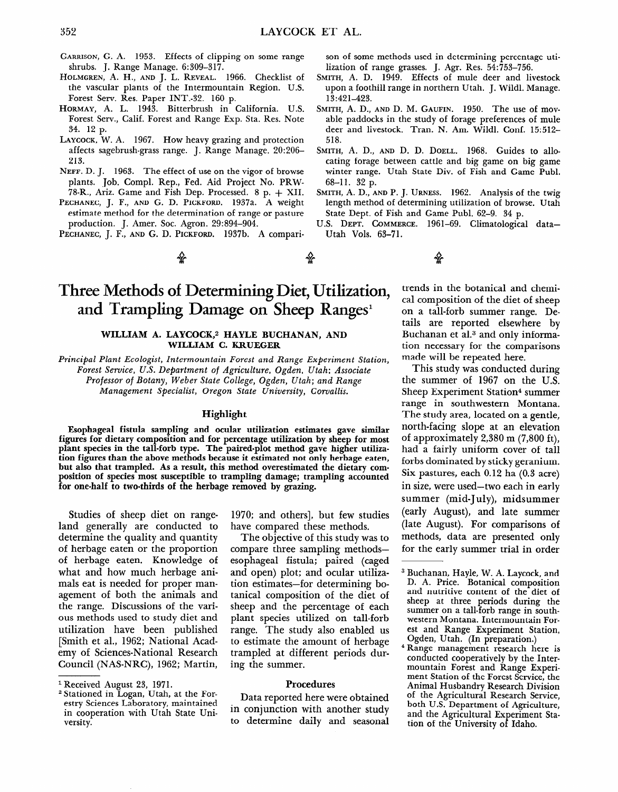# **Three Methods of Determining Diet, Utilization, and Trampling Damage on Sheep Ranges'**

#### WILLIAM A. LAYCOCK,<sup>2</sup> HAYLE BUCHANAN, AND **WILLIAM C. KRUEGER**

*Principal Plant Ecologist, Intermountain Forest and Range Experiment Station, Forest Seroice, U.S. Department* of *Agriculture, Ogden, Utah; Associate Professor* of *Botany, Weber State College, Ogden, Utah; and Range Management Specialist, Oregon State University, Cowallis.* 

## **Highlight**

**Esophageal fistula sampling and ocular utilization estimates gave similar figures for dietary composition and for percentage utilization by sheep for most plant species in the tall-forb type. The paired-plot method gave higher utilization figures than the above methods because it estimated not only herbage eaten, but also that trampled. As a result, this method overestimated the dietary composition of species most susceptible to trampling damage; trampling accounted for one-half to two-thirds of the herbage removed by grazing.** 

Studies of sheep diet on rangeland generally are conducted to determine the quality and quantity of herbage eaten or the proportion of herbage eaten. Knowledge of what and how much herbage animals eat is needed for proper management of both the animals and the range. Discussions of the various methods used to study diet and utilization have been published [Smith et al., 1962; National Academy of Sciences-National Research Council (NAS-NRC), 1962; Martin,

1970; and others], but few studies have compared these methods.

The objective of this study was to compare three sampling methodsesophageal fistula; paired (caged and open) plot; and ocular utilization estimates-for determining botanical composition of the diet of sheep and the percentage of each plant species utilized on tall-forb range. The study also enabled us to estimate the amount of herbage trampled at different periods during the summer.

# Procedures

Data reported here were obtained in conjunction with another study to determine daily and seasonal

trends in the botanical and chemical composition of the diet of sheep on a tall-forb summer range. Details are reported elsewhere by Buchanan et al.3 and only information necessary for the comparisons made will be repeated here.

This study was conducted during the summer of 1967 on the U.S. Sheep Experiment Station\* summer range in southwestern Montana. The study area, located on a gentle, north-facing slope at an elevation of approximately 2,380 m (7,800 ft), had a fairly uniform cover of tall forbs dominated by sticky geranium. Six pastures, each 0.12 ha (0.3 acre) in size, were used-two each in early summer (mid-July), midsummer (early August), and late summer (late August). For comparisons of methods, data are presented only for the early summer trial in order

4 Range management research here is conducted cooperatively by the Intermountain Forest and Range Experiment Station of the Forest Service, the Animal Husbandry Research Division of the Agricultural Research Service, both U.S. Department of Agriculture, and the Agricultural Experiment Station of the University of Idaho.

l Received August 23, 1971.

<sup>2</sup> Stationed in Logan, Utah, at the Forestry Sciences Laboratory, maintained in cooperation with Utah State University.

<sup>3</sup> Buchanan, Hayle, W. A. Laycock, and D. A. Price. Botanical composition and nutritive content of the diet of sheep at three periods during the summer on a tall-forb range in southwestern Montana. Intermountain Forest and Range Experiment Station, Ogden, Utah. (In preparation.)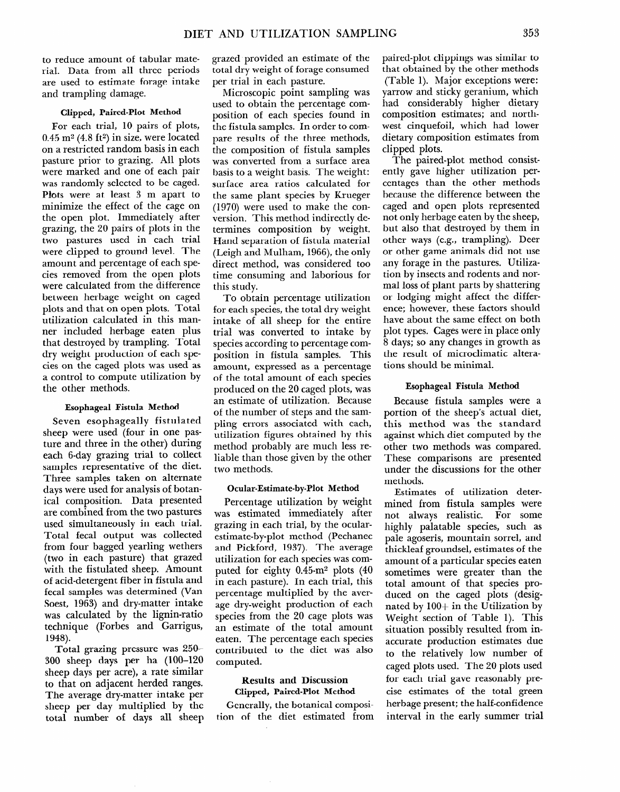to reduce amount of tabular material. Data from all three periods are used to estimate forage intake and trampling damage.

#### Clipped, Paired-Plot Method

For each trial, 10 pairs of plots,  $0.45$  m<sup>2</sup> (4.8 ft<sup>2</sup>) in size, were located on a restricted random basis in each pasture prior to grazing. All plots were marked and one of each pair was randomly selected to be caged. Plots were at least 3 m apart to minimize the effect of the cage on the open plot. Immediately after grazing, the 20 pairs of plots in the two pastures used in each trial were clipped to ground level. The amount and percentage of each species removed from the open plots were calculated from the difference between herbage weight on caged plots and that on open plots. Total utilization calculated in this manner included herbage eaten plus that destroyed by trampling. Total dry weight production of each species on the caged plots was used as a control to compute utilization by the other methods.

#### Esophageal Fistula Method

Seven esophageally fistulated sheep were used (four in one pasture and three in the other) during each 6-day grazing trial to collect samples representative of the diet. Three samples taken on alternate days were used for analysis of botanical composition. Data presented are combined from the two pastures used simultaneously in each trial. Total fecal output was collected from four bagged yearling wethers (two in each pasture) that grazed with the fistulated sheep. Amount of acid-detergent fiber in fistula and fecal samples was determined (Van Soest, 1963) and dry-matter intake was calculated by the lignin-ratio technique (Forbes and Garrigus, 1948).

Total grazing pressure was **250- 300** sheep days per ha (loo-120 sheep days per acre), a rate similar to that on adjacent herded ranges. The average dry-matter intake per sheep per day multiplied by the total number of days all sheep grazed provided an estimate of the total dry weight of forage consumed per trial in each pasture.

Microscopic point sampling was used to obtain the percentage composition of each species found in the fistula samples. In order to compare results of the three methods, the composition of fistula samples was converted from a surface area basis to a weight basis. The weight: surface area ratios calculated for the same plant species by Krueger (1970) were used to make the conversion. This method indirectly determines composition by weight. Hand separation of fistula material (Leigh and Mulham, 1966), the only direct method, was considered too time consuming and laborious for this study.

To obtain percentage utilization for each species, the total dry weight intake of all sheep for the entire trial was converted to intake by species according to percentage composition in fistula samples. This amount, expressed as a percentage of the total amount of each species produced on the 20 caged plots, was an estimate of utilization. Because of the number of steps and the sampling errors associated with each, utilization figures obtained by this method probably are much less reliable than those given by the other two methods.

### Ocular-Estimate-by-Plot Method

Percentage utilization by weight was estimated immediately after grazing in each trial, by the ocularestimate-by-plot method (Pechanec and Pickford, 1937). The average utilization for each species was computed for eighty 0.45-m2 plots (40 in each pasture). In each trial, this percentage multiplied by the average dry-weight production of each species from the 20 cage plots was an estimate of the total amount eaten. The percentage each species contributed to the diet was also computed.

## Results and Discussion Clipped, Paired-Plot Method

Generally, the botanical composition of the diet estimated from paired-plot clippings was similar to that obtained by the other methods (Table 1). Major exceptions were: yarrow and sticky geranium, which had considerably higher dietary composition estimates; and northwest cinquefoil, which had lower dietary composition estimates from clipped plots.

The paired-plot method consistently gave higher utilization percentages than the other methods because the difference between the caged and open plots represented not only herbage eaten by the sheep, but also that destroyed by them in other ways (e.g., trampling). Deer or other game animals did not use any forage in the pastures. Utilization by insects and rodents and normal loss of plant parts by shattering or lodging might affect the difference; however, these factors should have about the same effect on both plot types. Cages were in place only 8 days; so any changes in growth as the result of microclimatic alterations should be minimal.

#### Esophageal Fistula Method

Because fistula samples were a portion of the sheep's actual diet, this method was the standard against which diet computed by the other two methods was compared. These comparisons are presented under the discussions for the other methods.

Estimates of utilization determined from fistula samples were not always realistic. For some highly palatable species, such as pale agoseris, mountain sorrel, and thickleaf groundsel, estimates of the amount of a particular species eaten sometimes were greater than the total amount of that species produced on the caged plots (designated by  $100+$  in the Utilization by Weight section of Table 1). This situation possibly resulted from inaccurate production estimates due to the relatively low number of caged plots used. The 20 plots used for each trial gave reasonably precise estimates of the total green herbage present; the half-confidence interval in the early summer trial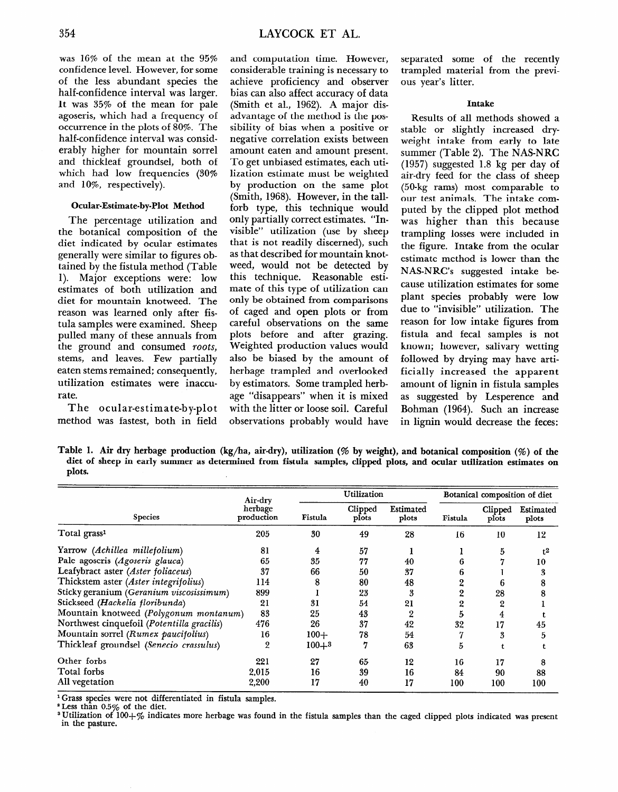was 16% of the mean at the 95% confidence level. However, for some of the less abundant species the half-confidence interval was larger. It was 35% of the mean for pale agoseris, which had a frequency of occurrence in the plots of 80%. The half-confidence interval was considerably higher for mountain sorrel and thickleaf groundsel, both of which had low frequencies (30% and 10%, respectively).

# **Ocular-Estimate-by-Plot Method**

The percentage utilization and the botanical composition of the diet indicated by ocular estimates generally were similar to figures obtained by the fistula method (Table 1). Major exceptions were: low estimates of both utilization and diet for mountain knotweed. The reason was learned only after fistula samples were examined. Sheep pulled many of these annuals from the ground and consumed *roots,*  stems, and leaves. Few partially eaten stems remained; consequently, utilization estimates were inaccurate.

The ocular-estimate-by-plot method was fastest, both in field

and computation time. However, considerable training is necessary to achieve proficiency and observer bias can also affect accuracy of data (Smith et al., 1962). A major disadvantage of the method is the possibility of bias when a positive or negative correlation exists between amount eaten and amount present. To get unbiased estimates, each utilization estimate must be weighted by production on the same plot (Smith, 1968). However, in the tallforb type, this technique would only partially correct estimates. "Invisible" utilization (use by sheep that is not readily discerned), such as that described for mountain knotweed, would not be detected by this technique. Reasonable estimate of this type of utilization can only be obtained from comparisons of caged and open plots or from careful observations on the same plots before and after grazing. Weighted production values would also be biased by the amount of herbage trampled and overlooked by estimators. Some trampled herbage "disappears" when it is mixed with the litter or loose soil. Careful observations probably would have

separated some of the recently trampled material from the previous year's litter.

## **Intake**

Results of all methods showed a stable or slightly increased dryweight intake from early to late summer (Table 2). The NAS-NRC (1957) suggested 1.8 kg per day of air-dry feed for the class of sheep (50-kg rams) most comparable to our test animals. The intake computed by the clipped plot method was higher than this because trampling losses were included in the figure. Intake from the ocular estimate method is lower than the NAS-NRC's suggested intake because utilization estimates for some plant species probably were low due to "invisible" utilization. The reason for low intake figures from fistula and fecal samples is not known; however, salivary wetting followed by drying may have artificially increased the apparent amount of lignin in fistula samples as suggested by Lesperence and Bohman (1964). Such an increase in lignin would decrease the feces:

Table 1. Air dry herbage production (kg/ha, air-dry), utilization (% by weight), and botanical composition (%) of the **diet of sheep in early summer as determined from fistula samples, clipped plots, and ocular utilization estimates on plots.** 

|                                            | Air-dry<br>herbage<br>production | Utilization |                  |                    | Botanical composition of diet |                  |                    |
|--------------------------------------------|----------------------------------|-------------|------------------|--------------------|-------------------------------|------------------|--------------------|
| <b>Species</b>                             |                                  | Fistula     | Clipped<br>plots | Estimated<br>plots | Fistula                       | Clipped<br>plots | Estimated<br>plots |
| Total grass <sup>1</sup>                   | 205                              | 30          | 49               | 28                 | 16                            | 10               | 12                 |
| Yarrow (Achillea millefolium)              | 81                               | 4           | 57               |                    |                               | 5                | $t^2$              |
| Pale agoseris (Agoseris glauca)            | 65                               | 35          | 77               | 40                 |                               |                  | 10                 |
| Leafybract aster (Aster foliaceus)         | 37                               | 66          | 50               | 37                 |                               |                  | 3                  |
| Thickstem aster (Aster integrifolius)      | 114                              |             | 80               | 48                 |                               | 6                | 8                  |
| Sticky geranium (Geranium viscosissimum)   | 899                              |             | 23               | 3                  | 2                             | 28               |                    |
| Stickseed (Hackelia floribunda)            | 21                               | 31          | 54               | 21                 | 2                             | 2                |                    |
| Mountain knotweed (Polygonum montanum)     | 83                               | 25          | 43               | 2                  | 5                             | 4                |                    |
| Northwest cinquefoil (Potentilla gracilis) | 476                              | 26          | 37               | 42                 | 32                            | 17               | 45                 |
| Mountain sorrel (Rumex paucifolius)        | 16                               | $100+$      | 78               | 54                 |                               | 3                | 5                  |
| Thickleaf groundsel (Senecio crassulus)    | 2                                | $100 + 3$   | 7                | 63                 | 5                             |                  |                    |
| Other forbs                                | 221                              | 27          | 65               | 12                 | 16                            | 17               | 8                  |
| Total forbs                                | 2.015                            | 16          | 39               | 16                 | 84                            | 90               | 88                 |
| All vegetation                             | 2,200                            | 17          | 40               | 17                 | 100                           | 100              | 100                |

l **Grass species were not differentiated in fistula samples.** 

 $^{\circ}$  Less than 0.5% of the diet.

**3 Utilization of 100+~o indicates more herbage was found in the fistula samples than the caged clipped plots indicated was present in the pasture.**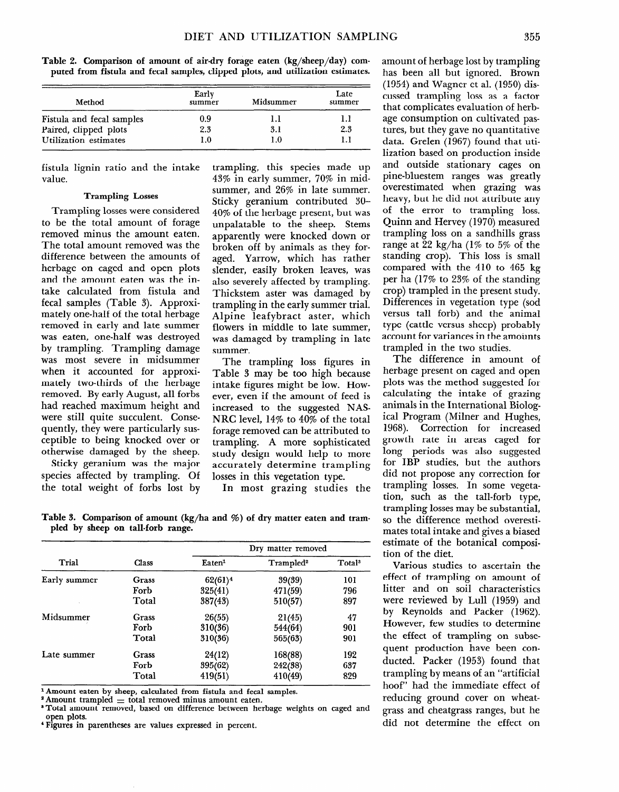|  | Table 2. Comparison of amount of air-dry forage eaten (kg/sheep/day) com-       |  |
|--|---------------------------------------------------------------------------------|--|
|  | puted from fistula and fecal samples, clipped plots, and utilization estimates. |  |

| Method                    | Early<br>summer | Midsummer | Late<br>summer |
|---------------------------|-----------------|-----------|----------------|
| Fistula and fecal samples | 0.9             | IJ        | 1.1            |
| Paired, clipped plots     | 2.3             | 3.1       | 2.3            |
| Utilization estimates     | 1.0             | 1.0       |                |

fistula lignin ratio and the intake value.

#### **Trampling Losses**

**Trampling** losses were considered to be the total amount of forage removed minus the amount eaten. The total amount removed was the difference between the amounts of herbage on caged and open plots and the amount eaten was the intake calculated from fistula and fecal samples (Table 3). Approximately one-half of the total herbage removed in early and late summer was eaten, one-half was destroyed by trampling. Trampling damage was most severe in midsummer when it accounted for approximately two-thirds of the herbage removed. By early August, all forbs had reached maximum height and were still quite succulent. Consequently, they were particularly susceptible to being knocked over or otherwise damaged by the sheep.

Sticky geranium was the major species affected by trampling. Of the total weight of forbs lost by

trampling, this species made up 43% in early summer, 70% in midsummer, and 26% in late summer. Sticky geranium contributed 30- 40% of the herbage present, but was unpalatable to the sheep. Stems apparently were knocked down or broken off by animals as they foraged. Yarrow, which has rather slender, easily broken leaves, was also severely affected by trampling. Thickstem aster was damaged by trampling in the early summer trial. Alpine leafybract aster, which flowers in middle to late summer, was damaged by trampling in late summer.

The trampling loss figures in Table 3 may be too high because intake figures might be low. However, even if the amount of feed is increased to the suggested NAS-NRC level, 14% to 40% of the total forage removed can be attributed to trampling. A more sophisticated study design would help to more accurately determine trampling losses in this vegetation type.

In most grazing studies the

**Table 3. Comparison of amount (kg/ha and %) of dry matter eaten and trampled by sheep on tall-forb range.** 

|              |       | Dry matter removed             |                       |                    |  |  |
|--------------|-------|--------------------------------|-----------------------|--------------------|--|--|
| Trial        | Class | $\mathbf{E}$ aten <sup>1</sup> | Trampled <sup>2</sup> | Total <sup>3</sup> |  |  |
| Early summer | Grass | $62(61)^4$                     | 39(39)                | 101                |  |  |
|              | Forb  | 325(41)                        | 471(59)               | 796                |  |  |
|              | Total | 387(43)                        | 510(57)               | 897                |  |  |
| Midsummer    | Grass | 26(55)                         | 21(45)                | 47                 |  |  |
|              | Forb  | 310(36)                        | 544(64)               | 901                |  |  |
|              | Total | 310(36)                        | 565(63)               | 901                |  |  |
| Late summer  | Grass | 24(12)                         | 168(88)               | 192                |  |  |
|              | Forb  | 395(62)                        | 242(38)               | 637                |  |  |
|              | Total | 419(51)                        | 410(49)               | 829                |  |  |

l **Amount eaten 'by sheep, calculated from fistula and fecal samples.** 

 $^{\circ}$  Amount trampled  $=$  total removed minus amount eaten.

<sup>3</sup> Total amount removed, based on difference between herbage weights on caged and **open plots. ' Figures in parentheses are values expressed in percent.** 

amount of herbage lost by trampling has been all but ignored. Brown (1954) and Wagner et al. (1950) discussed trampling loss as a factor that complicates evaluation of herbage consumption on cultivated pastures, but they gave no quantitative data. Grelen (1967) found that utilization based on production inside and outside stationary cages on pine-bluestem ranges was greatly overestimated when grazing was heavy, but he did not attribute any of the error to trampling loss. Quinn and Hervey (1970) measured trampling loss on a sandhills grass range at 22 kg/ha (1% to 5% of the standing crop). This loss is small compared with the 410 to 465 kg per ha (17% to 23% of the standing crop) trampled in the present study. Differences in vegetation type (sod versus tall forb) and the animal type (cattle versus sheep) probably account for variances in the amounts trampled in the two studies.

The difference in amount of herbage present on caged and open plots was the method suggested for calculating the intake of grazing animals in the International Biological Program (Milner and Hughes, 1968). Correction for increased growth rate in areas caged for long periods was also suggested for IBP studies, but the authors did not propose any correction for trampling losses. In some vegetation, such as the tall-forb type, trampling losses may be substantial, so the difference method overestimates total intake and gives a biased estimate of the botanical composition of the diet.

Various studies to ascertain the effect of trampling on amount of litter and on soil characteristics were reviewed by Lull (1959) and by Reynolds and Packer (1962). However, few studies to determine the effect of trampling on subsequent production have been conducted. Packer (1953) found that trampling by means of an "artificial hoof" had the immediate effect of reducing ground cover on wheatgrass and cheatgrass ranges, but he did not determine the effect on